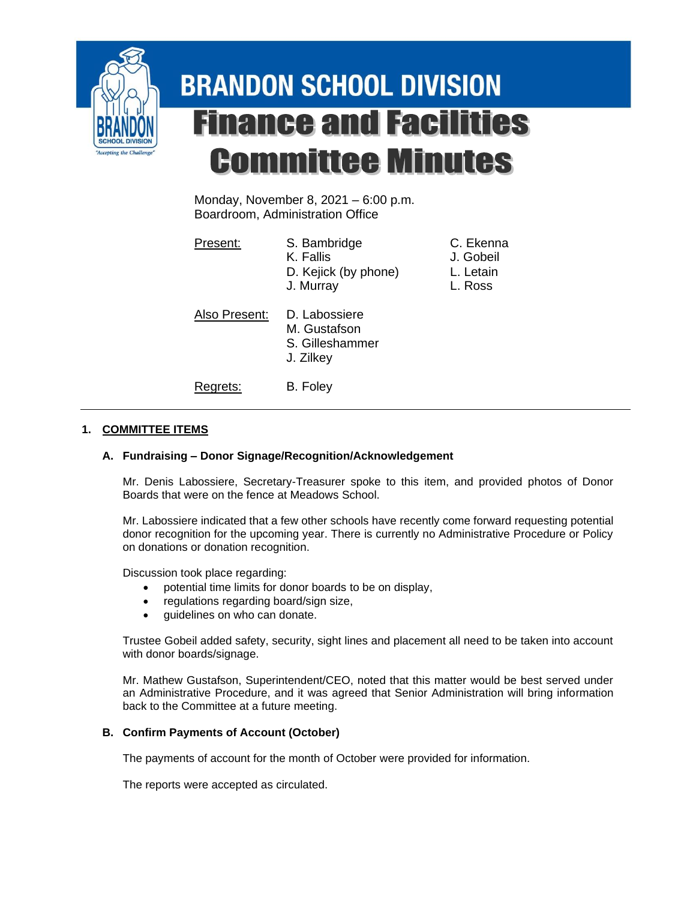

# **BRANDON SCHOOL DIVISION Finance and Facilities Committee Minutes**

Monday, November 8, 2021 – 6:00 p.m. Boardroom, Administration Office

| Present:      | S. Bambridge<br>K. Fallis<br>D. Kejick (by phone)<br>J. Murray | C. Ekenna<br>J. Gobeil<br>L. Letain<br>L. Ross |
|---------------|----------------------------------------------------------------|------------------------------------------------|
| Also Present: | D. Labossiere<br>M. Gustafson<br>S. Gilleshammer<br>J. Zilkey  |                                                |
| Regrets:      | B. Foley                                                       |                                                |

# **1. COMMITTEE ITEMS**

# **A. Fundraising – Donor Signage/Recognition/Acknowledgement**

Mr. Denis Labossiere, Secretary-Treasurer spoke to this item, and provided photos of Donor Boards that were on the fence at Meadows School.

Mr. Labossiere indicated that a few other schools have recently come forward requesting potential donor recognition for the upcoming year. There is currently no Administrative Procedure or Policy on donations or donation recognition.

Discussion took place regarding:

- potential time limits for donor boards to be on display,
- regulations regarding board/sign size,
- guidelines on who can donate.

Trustee Gobeil added safety, security, sight lines and placement all need to be taken into account with donor boards/signage.

Mr. Mathew Gustafson, Superintendent/CEO, noted that this matter would be best served under an Administrative Procedure, and it was agreed that Senior Administration will bring information back to the Committee at a future meeting.

#### **B. Confirm Payments of Account (October)**

The payments of account for the month of October were provided for information.

The reports were accepted as circulated.